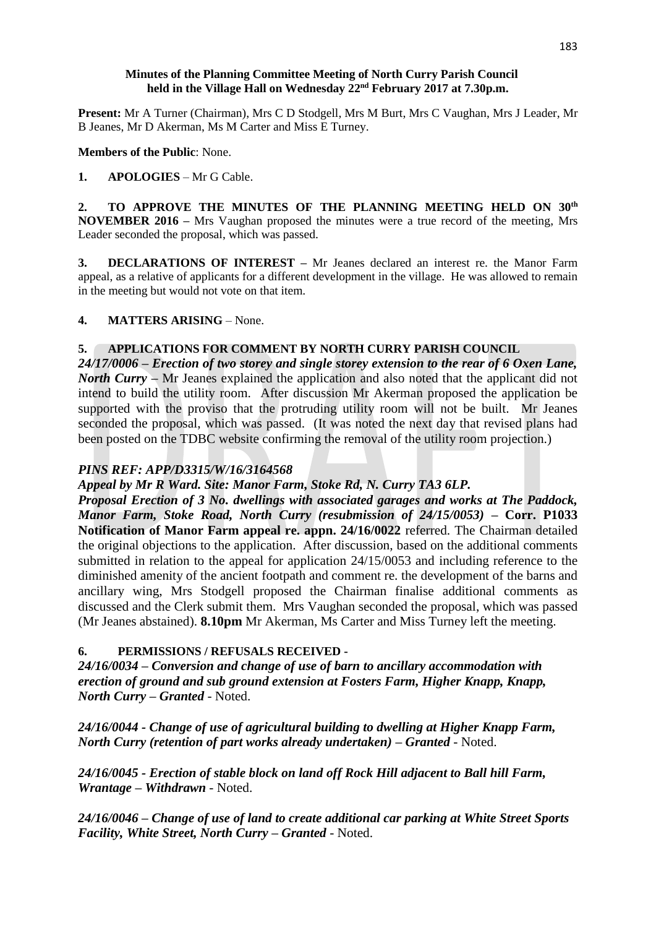### **Minutes of the Planning Committee Meeting of North Curry Parish Council held in the Village Hall on Wednesday 22nd February 2017 at 7.30p.m.**

**Present:** Mr A Turner (Chairman), Mrs C D Stodgell, Mrs M Burt, Mrs C Vaughan, Mrs J Leader, Mr B Jeanes, Mr D Akerman, Ms M Carter and Miss E Turney.

**Members of the Public**: None.

### **1. APOLOGIES** – Mr G Cable.

**2. TO APPROVE THE MINUTES OF THE PLANNING MEETING HELD ON 30th NOVEMBER 2016 –** Mrs Vaughan proposed the minutes were a true record of the meeting, Mrs Leader seconded the proposal, which was passed.

**3. DECLARATIONS OF INTEREST –** Mr Jeanes declared an interest re. the Manor Farm appeal, as a relative of applicants for a different development in the village. He was allowed to remain in the meeting but would not vote on that item.

# **4. MATTERS ARISING** – None.

# **5. APPLICATIONS FOR COMMENT BY NORTH CURRY PARISH COUNCIL**

*24/17/0006 – Erection of two storey and single storey extension to the rear of 6 Oxen Lane, North Curry* – Mr Jeanes explained the application and also noted that the applicant did not intend to build the utility room. After discussion Mr Akerman proposed the application be supported with the proviso that the protruding utility room will not be built. Mr Jeanes seconded the proposal, which was passed. (It was noted the next day that revised plans had been posted on the TDBC website confirming the removal of the utility room projection.)

# *PINS REF: APP/D3315/W/16/3164568*

*Appeal by Mr R Ward. Site: Manor Farm, Stoke Rd, N. Curry TA3 6LP.*

*Proposal Erection of 3 No. dwellings with associated garages and works at The Paddock, Manor Farm, Stoke Road, North Curry (resubmission of 24/15/0053) –* **Corr. P1033 Notification of Manor Farm appeal re. appn. 24/16/0022** referred. The Chairman detailed the original objections to the application. After discussion, based on the additional comments submitted in relation to the appeal for application 24/15/0053 and including reference to the diminished amenity of the ancient footpath and comment re. the development of the barns and ancillary wing, Mrs Stodgell proposed the Chairman finalise additional comments as discussed and the Clerk submit them. Mrs Vaughan seconded the proposal, which was passed (Mr Jeanes abstained). **8.10pm** Mr Akerman, Ms Carter and Miss Turney left the meeting.

# **6. PERMISSIONS / REFUSALS RECEIVED -**

*24/16/0034 – Conversion and change of use of barn to ancillary accommodation with erection of ground and sub ground extension at Fosters Farm, Higher Knapp, Knapp, North Curry – Granted* - Noted.

*24/16/0044 - Change of use of agricultural building to dwelling at Higher Knapp Farm, North Curry (retention of part works already undertaken) – Granted* - Noted.

*24/16/0045 - Erection of stable block on land off Rock Hill adjacent to Ball hill Farm, Wrantage – Withdrawn* - Noted.

*24/16/0046 – Change of use of land to create additional car parking at White Street Sports Facility, White Street, North Curry – Granted* - Noted.